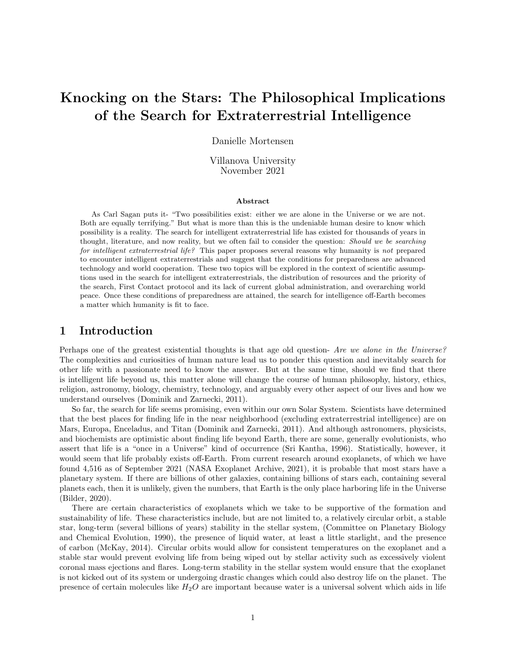# Knocking on the Stars: The Philosophical Implications of the Search for Extraterrestrial Intelligence

Danielle Mortensen

Villanova University November 2021

#### Abstract

As Carl Sagan puts it- "Two possibilities exist: either we are alone in the Universe or we are not. Both are equally terrifying." But what is more than this is the undeniable human desire to know which possibility is a reality. The search for intelligent extraterrestrial life has existed for thousands of years in thought, literature, and now reality, but we often fail to consider the question: *Should we be searching* for intelligent extraterrestrial life? This paper proposes several reasons why humanity is not prepared to encounter intelligent extraterrestrials and suggest that the conditions for preparedness are advanced technology and world cooperation. These two topics will be explored in the context of scientific assumptions used in the search for intelligent extraterrestrials, the distribution of resources and the priority of the search, First Contact protocol and its lack of current global administration, and overarching world peace. Once these conditions of preparedness are attained, the search for intelligence off-Earth becomes a matter which humanity is fit to face.

## 1 Introduction

Perhaps one of the greatest existential thoughts is that age old question- Are we alone in the Universe? The complexities and curiosities of human nature lead us to ponder this question and inevitably search for other life with a passionate need to know the answer. But at the same time, should we find that there is intelligent life beyond us, this matter alone will change the course of human philosophy, history, ethics, religion, astronomy, biology, chemistry, technology, and arguably every other aspect of our lives and how we understand ourselves (Dominik and Zarnecki, 2011).

So far, the search for life seems promising, even within our own Solar System. Scientists have determined that the best places for finding life in the near neighborhood (excluding extraterrestrial intelligence) are on Mars, Europa, Enceladus, and Titan (Dominik and Zarnecki, 2011). And although astronomers, physicists, and biochemists are optimistic about finding life beyond Earth, there are some, generally evolutionists, who assert that life is a "once in a Universe" kind of occurrence (Sri Kantha, 1996). Statistically, however, it would seem that life probably exists off-Earth. From current research around exoplanets, of which we have found 4,516 as of September 2021 (NASA Exoplanet Archive, 2021), it is probable that most stars have a planetary system. If there are billions of other galaxies, containing billions of stars each, containing several planets each, then it is unlikely, given the numbers, that Earth is the only place harboring life in the Universe (Bilder, 2020).

There are certain characteristics of exoplanets which we take to be supportive of the formation and sustainability of life. These characteristics include, but are not limited to, a relatively circular orbit, a stable star, long-term (several billions of years) stability in the stellar system, (Committee on Planetary Biology and Chemical Evolution, 1990), the presence of liquid water, at least a little starlight, and the presence of carbon (McKay, 2014). Circular orbits would allow for consistent temperatures on the exoplanet and a stable star would prevent evolving life from being wiped out by stellar activity such as excessively violent coronal mass ejections and flares. Long-term stability in the stellar system would ensure that the exoplanet is not kicked out of its system or undergoing drastic changes which could also destroy life on the planet. The presence of certain molecules like  $H_2O$  are important because water is a universal solvent which aids in life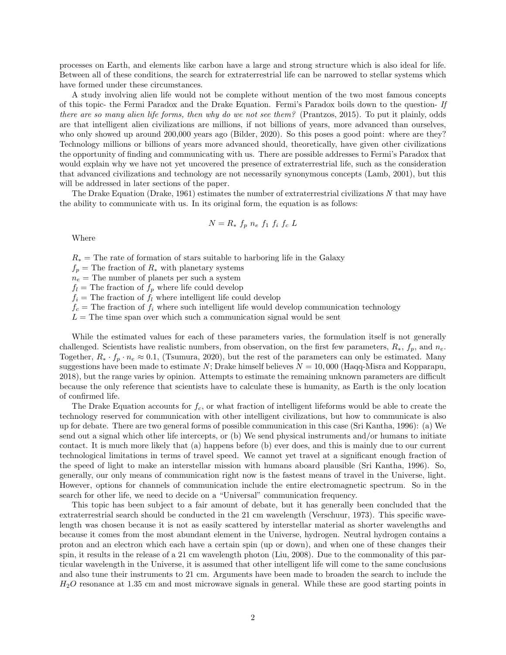processes on Earth, and elements like carbon have a large and strong structure which is also ideal for life. Between all of these conditions, the search for extraterrestrial life can be narrowed to stellar systems which have formed under these circumstances.

A study involving alien life would not be complete without mention of the two most famous concepts of this topic- the Fermi Paradox and the Drake Equation. Fermi's Paradox boils down to the question- If there are so many alien life forms, then why do we not see them? (Prantzos, 2015). To put it plainly, odds are that intelligent alien civilizations are millions, if not billions of years, more advanced than ourselves, who only showed up around 200,000 years ago (Bilder, 2020). So this poses a good point: where are they? Technology millions or billions of years more advanced should, theoretically, have given other civilizations the opportunity of finding and communicating with us. There are possible addresses to Fermi's Paradox that would explain why we have not yet uncovered the presence of extraterrestrial life, such as the consideration that advanced civilizations and technology are not necessarily synonymous concepts (Lamb, 2001), but this will be addressed in later sections of the paper.

The Drake Equation (Drake, 1961) estimates the number of extraterrestrial civilizations N that may have the ability to communicate with us. In its original form, the equation is as follows:

$$
N = R_* f_p n_e f_1 f_i f_c L
$$

Where

 $R_*$  = The rate of formation of stars suitable to harboring life in the Galaxy

 $f_p$  = The fraction of  $R_*$  with planetary systems

 $n_e$  = The number of planets per such a system

 $f_l$  = The fraction of  $f_p$  where life could develop

 $f_i$  = The fraction of  $f_l$  where intelligent life could develop

 $f_c$  = The fraction of  $f_i$  where such intelligent life would develop communication technology

 $L =$ The time span over which such a communication signal would be sent

While the estimated values for each of these parameters varies, the formulation itself is not generally challenged. Scientists have realistic numbers, from observation, on the first few parameters,  $R_*, f_p$ , and  $n_e$ . Together,  $R_* \cdot f_p \cdot n_e \approx 0.1$ , (Tsumura, 2020), but the rest of the parameters can only be estimated. Many suggestions have been made to estimate N; Drake himself believes  $N = 10,000$  (Haqq-Misra and Kopparapu, 2018), but the range varies by opinion. Attempts to estimate the remaining unknown parameters are difficult because the only reference that scientists have to calculate these is humanity, as Earth is the only location of confirmed life.

The Drake Equation accounts for  $f_c$ , or what fraction of intelligent lifeforms would be able to create the technology reserved for communication with other intelligent civilizations, but how to communicate is also up for debate. There are two general forms of possible communication in this case (Sri Kantha, 1996): (a) We send out a signal which other life intercepts, or (b) We send physical instruments and/or humans to initiate contact. It is much more likely that (a) happens before (b) ever does, and this is mainly due to our current technological limitations in terms of travel speed. We cannot yet travel at a significant enough fraction of the speed of light to make an interstellar mission with humans aboard plausible (Sri Kantha, 1996). So, generally, our only means of communication right now is the fastest means of travel in the Universe, light. However, options for channels of communication include the entire electromagnetic spectrum. So in the search for other life, we need to decide on a "Universal" communication frequency.

This topic has been subject to a fair amount of debate, but it has generally been concluded that the extraterrestrial search should be conducted in the 21 cm wavelength (Verschuur, 1973). This specific wavelength was chosen because it is not as easily scattered by interstellar material as shorter wavelengths and because it comes from the most abundant element in the Universe, hydrogen. Neutral hydrogen contains a proton and an electron which each have a certain spin (up or down), and when one of these changes their spin, it results in the release of a 21 cm wavelength photon (Liu, 2008). Due to the commonality of this particular wavelength in the Universe, it is assumed that other intelligent life will come to the same conclusions and also tune their instruments to 21 cm. Arguments have been made to broaden the search to include the  $H<sub>2</sub>O$  resonance at 1.35 cm and most microwave signals in general. While these are good starting points in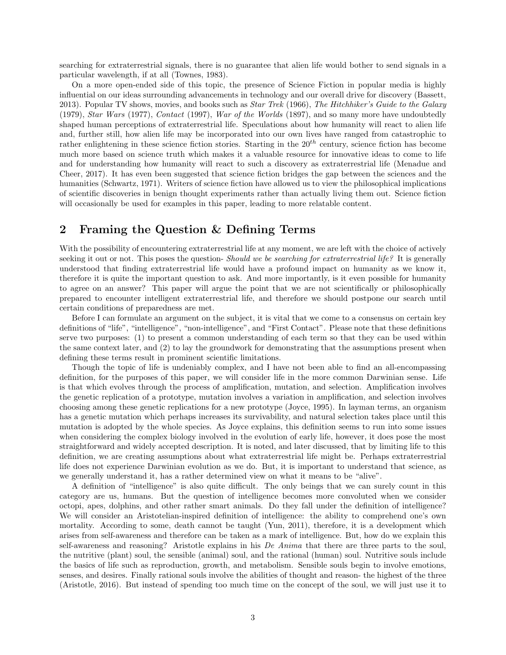searching for extraterrestrial signals, there is no guarantee that alien life would bother to send signals in a particular wavelength, if at all (Townes, 1983).

On a more open-ended side of this topic, the presence of Science Fiction in popular media is highly influential on our ideas surrounding advancements in technology and our overall drive for discovery (Bassett, 2013). Popular TV shows, movies, and books such as *Star Trek* (1966), The Hitchhiker's Guide to the Galaxy (1979), Star Wars (1977), Contact (1997), War of the Worlds (1897), and so many more have undoubtedly shaped human perceptions of extraterrestrial life. Speculations about how humanity will react to alien life and, further still, how alien life may be incorporated into our own lives have ranged from catastrophic to rather enlightening in these science fiction stories. Starting in the  $20<sup>th</sup>$  century, science fiction has become much more based on science truth which makes it a valuable resource for innovative ideas to come to life and for understanding how humanity will react to such a discovery as extraterrestrial life (Menadue and Cheer, 2017). It has even been suggested that science fiction bridges the gap between the sciences and the humanities (Schwartz, 1971). Writers of science fiction have allowed us to view the philosophical implications of scientific discoveries in benign thought experiments rather than actually living them out. Science fiction will occasionally be used for examples in this paper, leading to more relatable content.

## 2 Framing the Question & Defining Terms

With the possibility of encountering extraterrestrial life at any moment, we are left with the choice of actively seeking it out or not. This poses the question- Should we be searching for extraterrestrial life? It is generally understood that finding extraterrestrial life would have a profound impact on humanity as we know it, therefore it is quite the important question to ask. And more importantly, is it even possible for humanity to agree on an answer? This paper will argue the point that we are not scientifically or philosophically prepared to encounter intelligent extraterrestrial life, and therefore we should postpone our search until certain conditions of preparedness are met.

Before I can formulate an argument on the subject, it is vital that we come to a consensus on certain key definitions of "life", "intelligence", "non-intelligence", and "First Contact". Please note that these definitions serve two purposes: (1) to present a common understanding of each term so that they can be used within the same context later, and (2) to lay the groundwork for demonstrating that the assumptions present when defining these terms result in prominent scientific limitations.

Though the topic of life is undeniably complex, and I have not been able to find an all-encompassing definition, for the purposes of this paper, we will consider life in the more common Darwinian sense. Life is that which evolves through the process of amplification, mutation, and selection. Amplification involves the genetic replication of a prototype, mutation involves a variation in amplification, and selection involves choosing among these genetic replications for a new prototype (Joyce, 1995). In layman terms, an organism has a genetic mutation which perhaps increases its survivability, and natural selection takes place until this mutation is adopted by the whole species. As Joyce explains, this definition seems to run into some issues when considering the complex biology involved in the evolution of early life, however, it does pose the most straightforward and widely accepted description. It is noted, and later discussed, that by limiting life to this definition, we are creating assumptions about what extraterrestrial life might be. Perhaps extraterrestrial life does not experience Darwinian evolution as we do. But, it is important to understand that science, as we generally understand it, has a rather determined view on what it means to be "alive".

A definition of "intelligence" is also quite difficult. The only beings that we can surely count in this category are us, humans. But the question of intelligence becomes more convoluted when we consider octopi, apes, dolphins, and other rather smart animals. Do they fall under the definition of intelligence? We will consider an Aristotelian-inspired definition of intelligence: the ability to comprehend one's own mortality. According to some, death cannot be taught (Yun, 2011), therefore, it is a development which arises from self-awareness and therefore can be taken as a mark of intelligence. But, how do we explain this self-awareness and reasoning? Aristotle explains in his De Anima that there are three parts to the soul, the nutritive (plant) soul, the sensible (animal) soul, and the rational (human) soul. Nutritive souls include the basics of life such as reproduction, growth, and metabolism. Sensible souls begin to involve emotions, senses, and desires. Finally rational souls involve the abilities of thought and reason- the highest of the three (Aristotle, 2016). But instead of spending too much time on the concept of the soul, we will just use it to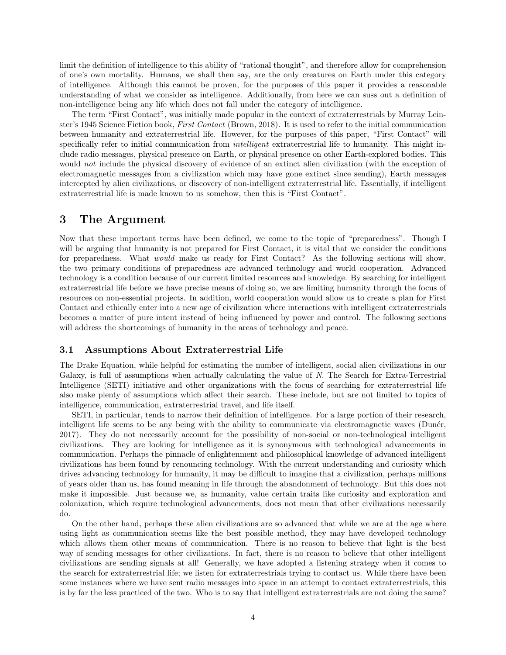limit the definition of intelligence to this ability of "rational thought", and therefore allow for comprehension of one's own mortality. Humans, we shall then say, are the only creatures on Earth under this category of intelligence. Although this cannot be proven, for the purposes of this paper it provides a reasonable understanding of what we consider as intelligence. Additionally, from here we can suss out a definition of non-intelligence being any life which does not fall under the category of intelligence.

The term "First Contact", was initially made popular in the context of extraterrestrials by Murray Leinster's 1945 Science Fiction book, First Contact (Brown, 2018). It is used to refer to the initial communication between humanity and extraterrestrial life. However, for the purposes of this paper, "First Contact" will specifically refer to initial communication from *intelligent* extraterrestrial life to humanity. This might include radio messages, physical presence on Earth, or physical presence on other Earth-explored bodies. This would not include the physical discovery of evidence of an extinct alien civilization (with the exception of electromagnetic messages from a civilization which may have gone extinct since sending), Earth messages intercepted by alien civilizations, or discovery of non-intelligent extraterrestrial life. Essentially, if intelligent extraterrestrial life is made known to us somehow, then this is "First Contact".

## 3 The Argument

Now that these important terms have been defined, we come to the topic of "preparedness". Though I will be arguing that humanity is not prepared for First Contact, it is vital that we consider the conditions for preparedness. What would make us ready for First Contact? As the following sections will show, the two primary conditions of preparedness are advanced technology and world cooperation. Advanced technology is a condition because of our current limited resources and knowledge. By searching for intelligent extraterrestrial life before we have precise means of doing so, we are limiting humanity through the focus of resources on non-essential projects. In addition, world cooperation would allow us to create a plan for First Contact and ethically enter into a new age of civilization where interactions with intelligent extraterrestrials becomes a matter of pure intent instead of being influenced by power and control. The following sections will address the shortcomings of humanity in the areas of technology and peace.

### 3.1 Assumptions About Extraterrestrial Life

The Drake Equation, while helpful for estimating the number of intelligent, social alien civilizations in our Galaxy, is full of assumptions when actually calculating the value of N. The Search for Extra-Terrestrial Intelligence (SETI) initiative and other organizations with the focus of searching for extraterrestrial life also make plenty of assumptions which affect their search. These include, but are not limited to topics of intelligence, communication, extraterrestrial travel, and life itself.

SETI, in particular, tends to narrow their definition of intelligence. For a large portion of their research, intelligent life seems to be any being with the ability to communicate via electromagnetic waves (Dunér, 2017). They do not necessarily account for the possibility of non-social or non-technological intelligent civilizations. They are looking for intelligence as it is synonymous with technological advancements in communication. Perhaps the pinnacle of enlightenment and philosophical knowledge of advanced intelligent civilizations has been found by renouncing technology. With the current understanding and curiosity which drives advancing technology for humanity, it may be difficult to imagine that a civilization, perhaps millions of years older than us, has found meaning in life through the abandonment of technology. But this does not make it impossible. Just because we, as humanity, value certain traits like curiosity and exploration and colonization, which require technological advancements, does not mean that other civilizations necessarily do.

On the other hand, perhaps these alien civilizations are so advanced that while we are at the age where using light as communication seems like the best possible method, they may have developed technology which allows them other means of communication. There is no reason to believe that light is the best way of sending messages for other civilizations. In fact, there is no reason to believe that other intelligent civilizations are sending signals at all! Generally, we have adopted a listening strategy when it comes to the search for extraterrestrial life; we listen for extraterrestrials trying to contact us. While there have been some instances where we have sent radio messages into space in an attempt to contact extraterrestrials, this is by far the less practiced of the two. Who is to say that intelligent extraterrestrials are not doing the same?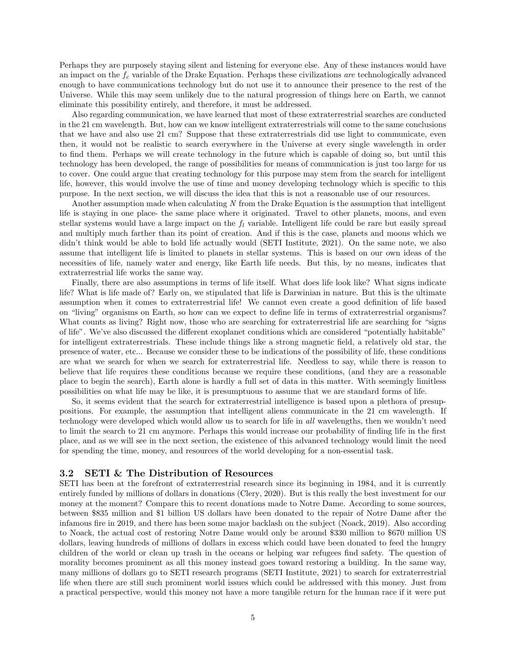Perhaps they are purposely staying silent and listening for everyone else. Any of these instances would have an impact on the  $f_c$  variable of the Drake Equation. Perhaps these civilizations are technologically advanced enough to have communications technology but do not use it to announce their presence to the rest of the Universe. While this may seem unlikely due to the natural progression of things here on Earth, we cannot eliminate this possibility entirely, and therefore, it must be addressed.

Also regarding communication, we have learned that most of these extraterrestrial searches are conducted in the 21 cm wavelength. But, how can we know intelligent extraterrestrials will come to the same conclusions that we have and also use 21 cm? Suppose that these extraterrestrials did use light to communicate, even then, it would not be realistic to search everywhere in the Universe at every single wavelength in order to find them. Perhaps we will create technology in the future which is capable of doing so, but until this technology has been developed, the range of possibilities for means of communication is just too large for us to cover. One could argue that creating technology for this purpose may stem from the search for intelligent life, however, this would involve the use of time and money developing technology which is specific to this purpose. In the next section, we will discuss the idea that this is not a reasonable use of our resources.

Another assumption made when calculating N from the Drake Equation is the assumption that intelligent life is staying in one place- the same place where it originated. Travel to other planets, moons, and even stellar systems would have a large impact on the  $f_l$  variable. Intelligent life could be rare but easily spread and multiply much farther than its point of creation. And if this is the case, planets and moons which we didn't think would be able to hold life actually would (SETI Institute, 2021). On the same note, we also assume that intelligent life is limited to planets in stellar systems. This is based on our own ideas of the necessities of life, namely water and energy, like Earth life needs. But this, by no means, indicates that extraterrestrial life works the same way.

Finally, there are also assumptions in terms of life itself. What does life look like? What signs indicate life? What is life made of? Early on, we stipulated that life is Darwinian in nature. But this is the ultimate assumption when it comes to extraterrestrial life! We cannot even create a good definition of life based on "living" organisms on Earth, so how can we expect to define life in terms of extraterrestrial organisms? What counts as living? Right now, those who are searching for extraterrestrial life are searching for "signs of life". We've also discussed the different exoplanet conditions which are considered "potentially habitable" for intelligent extraterrestrials. These include things like a strong magnetic field, a relatively old star, the presence of water, etc... Because we consider these to be indications of the possibility of life, these conditions are what we search for when we search for extraterrestrial life. Needless to say, while there is reason to believe that life requires these conditions because we require these conditions, (and they are a reasonable place to begin the search), Earth alone is hardly a full set of data in this matter. With seemingly limitless possibilities on what life may be like, it is presumptuous to assume that we are standard forms of life.

So, it seems evident that the search for extraterrestrial intelligence is based upon a plethora of presuppositions. For example, the assumption that intelligent aliens communicate in the 21 cm wavelength. If technology were developed which would allow us to search for life in all wavelengths, then we wouldn't need to limit the search to 21 cm anymore. Perhaps this would increase our probability of finding life in the first place, and as we will see in the next section, the existence of this advanced technology would limit the need for spending the time, money, and resources of the world developing for a non-essential task.

#### 3.2 SETI & The Distribution of Resources

SETI has been at the forefront of extraterrestrial research since its beginning in 1984, and it is currently entirely funded by millions of dollars in donations (Clery, 2020). But is this really the best investment for our money at the moment? Compare this to recent donations made to Notre Dame. According to some sources, between \$835 million and \$1 billion US dollars have been donated to the repair of Notre Dame after the infamous fire in 2019, and there has been some major backlash on the subject (Noack, 2019). Also according to Noack, the actual cost of restoring Notre Dame would only be around \$330 million to \$670 million US dollars, leaving hundreds of millions of dollars in excess which could have been donated to feed the hungry children of the world or clean up trash in the oceans or helping war refugees find safety. The question of morality becomes prominent as all this money instead goes toward restoring a building. In the same way, many millions of dollars go to SETI research programs (SETI Institute, 2021) to search for extraterrestrial life when there are still such prominent world issues which could be addressed with this money. Just from a practical perspective, would this money not have a more tangible return for the human race if it were put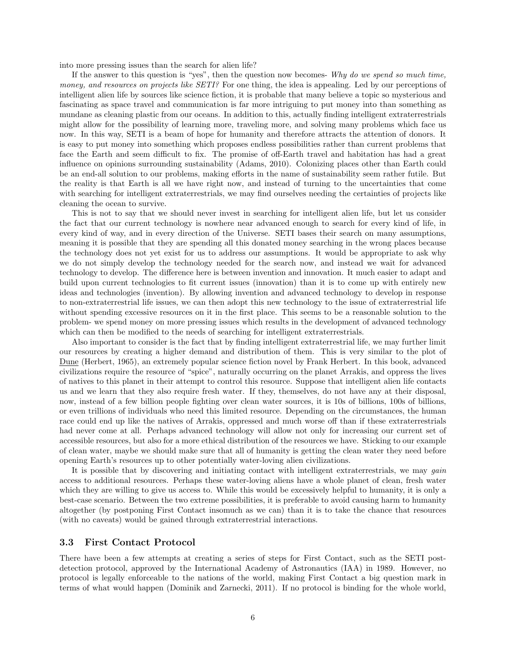into more pressing issues than the search for alien life?

If the answer to this question is "yes", then the question now becomes-  $Why do we spend so much time,$ money, and resources on projects like SETI? For one thing, the idea is appealing. Led by our perceptions of intelligent alien life by sources like science fiction, it is probable that many believe a topic so mysterious and fascinating as space travel and communication is far more intriguing to put money into than something as mundane as cleaning plastic from our oceans. In addition to this, actually finding intelligent extraterrestrials might allow for the possibility of learning more, traveling more, and solving many problems which face us now. In this way, SETI is a beam of hope for humanity and therefore attracts the attention of donors. It is easy to put money into something which proposes endless possibilities rather than current problems that face the Earth and seem difficult to fix. The promise of off-Earth travel and habitation has had a great influence on opinions surrounding sustainability (Adams, 2010). Colonizing places other than Earth could be an end-all solution to our problems, making efforts in the name of sustainability seem rather futile. But the reality is that Earth is all we have right now, and instead of turning to the uncertainties that come with searching for intelligent extraterrestrials, we may find ourselves needing the certainties of projects like cleaning the ocean to survive.

This is not to say that we should never invest in searching for intelligent alien life, but let us consider the fact that our current technology is nowhere near advanced enough to search for every kind of life, in every kind of way, and in every direction of the Universe. SETI bases their search on many assumptions, meaning it is possible that they are spending all this donated money searching in the wrong places because the technology does not yet exist for us to address our assumptions. It would be appropriate to ask why we do not simply develop the technology needed for the search now, and instead we wait for advanced technology to develop. The difference here is between invention and innovation. It much easier to adapt and build upon current technologies to fit current issues (innovation) than it is to come up with entirely new ideas and technologies (invention). By allowing invention and advanced technology to develop in response to non-extraterrestrial life issues, we can then adopt this new technology to the issue of extraterrestrial life without spending excessive resources on it in the first place. This seems to be a reasonable solution to the problem- we spend money on more pressing issues which results in the development of advanced technology which can then be modified to the needs of searching for intelligent extraterrestrials.

Also important to consider is the fact that by finding intelligent extraterrestrial life, we may further limit our resources by creating a higher demand and distribution of them. This is very similar to the plot of Dune (Herbert, 1965), an extremely popular science fiction novel by Frank Herbert. In this book, advanced civilizations require the resource of "spice", naturally occurring on the planet Arrakis, and oppress the lives of natives to this planet in their attempt to control this resource. Suppose that intelligent alien life contacts us and we learn that they also require fresh water. If they, themselves, do not have any at their disposal, now, instead of a few billion people fighting over clean water sources, it is 10s of billions, 100s of billions, or even trillions of individuals who need this limited resource. Depending on the circumstances, the human race could end up like the natives of Arrakis, oppressed and much worse off than if these extraterrestrials had never come at all. Perhaps advanced technology will allow not only for increasing our current set of accessible resources, but also for a more ethical distribution of the resources we have. Sticking to our example of clean water, maybe we should make sure that all of humanity is getting the clean water they need before opening Earth's resources up to other potentially water-loving alien civilizations.

It is possible that by discovering and initiating contact with intelligent extraterrestrials, we may *qain* access to additional resources. Perhaps these water-loving aliens have a whole planet of clean, fresh water which they are willing to give us access to. While this would be excessively helpful to humanity, it is only a best-case scenario. Between the two extreme possibilities, it is preferable to avoid causing harm to humanity altogether (by postponing First Contact insomuch as we can) than it is to take the chance that resources (with no caveats) would be gained through extraterrestrial interactions.

#### 3.3 First Contact Protocol

There have been a few attempts at creating a series of steps for First Contact, such as the SETI postdetection protocol, approved by the International Academy of Astronautics (IAA) in 1989. However, no protocol is legally enforceable to the nations of the world, making First Contact a big question mark in terms of what would happen (Dominik and Zarnecki, 2011). If no protocol is binding for the whole world,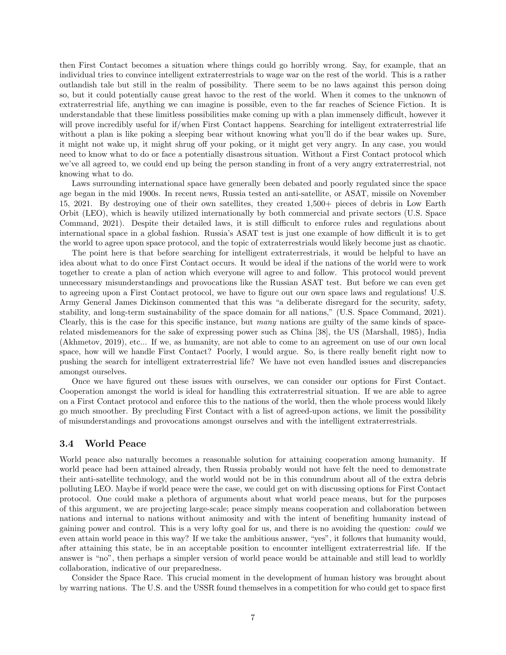then First Contact becomes a situation where things could go horribly wrong. Say, for example, that an individual tries to convince intelligent extraterrestrials to wage war on the rest of the world. This is a rather outlandish tale but still in the realm of possibility. There seem to be no laws against this person doing so, but it could potentially cause great havoc to the rest of the world. When it comes to the unknown of extraterrestrial life, anything we can imagine is possible, even to the far reaches of Science Fiction. It is understandable that these limitless possibilities make coming up with a plan immensely difficult, however it will prove incredibly useful for if/when First Contact happens. Searching for intelligent extraterrestrial life without a plan is like poking a sleeping bear without knowing what you'll do if the bear wakes up. Sure, it might not wake up, it might shrug off your poking, or it might get very angry. In any case, you would need to know what to do or face a potentially disastrous situation. Without a First Contact protocol which we've all agreed to, we could end up being the person standing in front of a very angry extraterrestrial, not knowing what to do.

Laws surrounding international space have generally been debated and poorly regulated since the space age began in the mid 1900s. In recent news, Russia tested an anti-satellite, or ASAT, missile on November 15, 2021. By destroying one of their own satellites, they created 1,500+ pieces of debris in Low Earth Orbit (LEO), which is heavily utilized internationally by both commercial and private sectors (U.S. Space Command, 2021). Despite their detailed laws, it is still difficult to enforce rules and regulations about international space in a global fashion. Russia's ASAT test is just one example of how difficult it is to get the world to agree upon space protocol, and the topic of extraterrestrials would likely become just as chaotic.

The point here is that before searching for intelligent extraterrestrials, it would be helpful to have an idea about what to do once First Contact occurs. It would be ideal if the nations of the world were to work together to create a plan of action which everyone will agree to and follow. This protocol would prevent unnecessary misunderstandings and provocations like the Russian ASAT test. But before we can even get to agreeing upon a First Contact protocol, we have to figure out our own space laws and regulations! U.S. Army General James Dickinson commented that this was "a deliberate disregard for the security, safety, stability, and long-term sustainability of the space domain for all nations," (U.S. Space Command, 2021). Clearly, this is the case for this specific instance, but many nations are guilty of the same kinds of spacerelated misdemeanors for the sake of expressing power such as China [38], the US (Marshall, 1985), India (Akhmetov, 2019), etc... If we, as humanity, are not able to come to an agreement on use of our own local space, how will we handle First Contact? Poorly, I would argue. So, is there really benefit right now to pushing the search for intelligent extraterrestrial life? We have not even handled issues and discrepancies amongst ourselves.

Once we have figured out these issues with ourselves, we can consider our options for First Contact. Cooperation amongst the world is ideal for handling this extraterrestrial situation. If we are able to agree on a First Contact protocol and enforce this to the nations of the world, then the whole process would likely go much smoother. By precluding First Contact with a list of agreed-upon actions, we limit the possibility of misunderstandings and provocations amongst ourselves and with the intelligent extraterrestrials.

#### 3.4 World Peace

World peace also naturally becomes a reasonable solution for attaining cooperation among humanity. If world peace had been attained already, then Russia probably would not have felt the need to demonstrate their anti-satellite technology, and the world would not be in this conundrum about all of the extra debris polluting LEO. Maybe if world peace were the case, we could get on with discussing options for First Contact protocol. One could make a plethora of arguments about what world peace means, but for the purposes of this argument, we are projecting large-scale; peace simply means cooperation and collaboration between nations and internal to nations without animosity and with the intent of benefiting humanity instead of gaining power and control. This is a very lofty goal for us, and there is no avoiding the question: could we even attain world peace in this way? If we take the ambitious answer, "yes", it follows that humanity would, after attaining this state, be in an acceptable position to encounter intelligent extraterrestrial life. If the answer is "no", then perhaps a simpler version of world peace would be attainable and still lead to worldly collaboration, indicative of our preparedness.

Consider the Space Race. This crucial moment in the development of human history was brought about by warring nations. The U.S. and the USSR found themselves in a competition for who could get to space first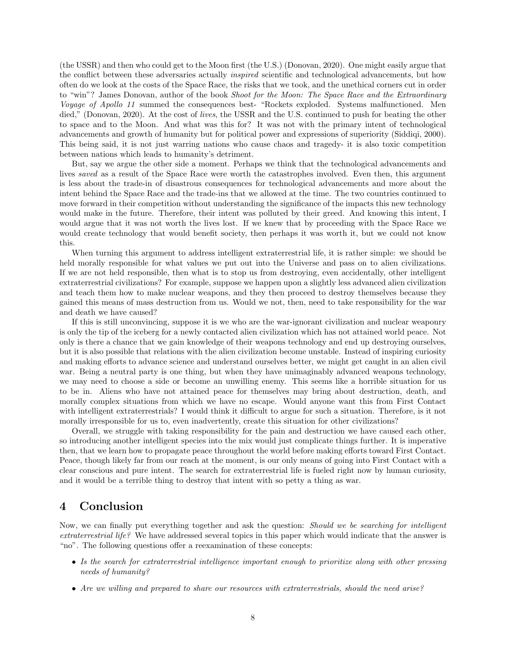(the USSR) and then who could get to the Moon first (the U.S.) (Donovan, 2020). One might easily argue that the conflict between these adversaries actually inspired scientific and technological advancements, but how often do we look at the costs of the Space Race, the risks that we took, and the unethical corners cut in order to "win"? James Donovan, author of the book Shoot for the Moon: The Space Race and the Extraordinary Voyage of Apollo 11 summed the consequences best- "Rockets exploded. Systems malfunctioned. Men died," (Donovan, 2020). At the cost of *lives*, the USSR and the U.S. continued to push for beating the other to space and to the Moon. And what was this for? It was not with the primary intent of technological advancements and growth of humanity but for political power and expressions of superiority (Siddiqi, 2000). This being said, it is not just warring nations who cause chaos and tragedy- it is also toxic competition between nations which leads to humanity's detriment.

But, say we argue the other side a moment. Perhaps we think that the technological advancements and lives *saved* as a result of the Space Race were worth the catastrophes involved. Even then, this argument is less about the trade-in of disastrous consequences for technological advancements and more about the intent behind the Space Race and the trade-ins that we allowed at the time. The two countries continued to move forward in their competition without understanding the significance of the impacts this new technology would make in the future. Therefore, their intent was polluted by their greed. And knowing this intent, I would argue that it was not worth the lives lost. If we knew that by proceeding with the Space Race we would create technology that would benefit society, then perhaps it was worth it, but we could not know this.

When turning this argument to address intelligent extraterrestrial life, it is rather simple: we should be held morally responsible for what values we put out into the Universe and pass on to alien civilizations. If we are not held responsible, then what is to stop us from destroying, even accidentally, other intelligent extraterrestrial civilizations? For example, suppose we happen upon a slightly less advanced alien civilization and teach them how to make nuclear weapons, and they then proceed to destroy themselves because they gained this means of mass destruction from us. Would we not, then, need to take responsibility for the war and death we have caused?

If this is still unconvincing, suppose it is we who are the war-ignorant civilization and nuclear weaponry is only the tip of the iceberg for a newly contacted alien civilization which has not attained world peace. Not only is there a chance that we gain knowledge of their weapons technology and end up destroying ourselves, but it is also possible that relations with the alien civilization become unstable. Instead of inspiring curiosity and making efforts to advance science and understand ourselves better, we might get caught in an alien civil war. Being a neutral party is one thing, but when they have unimaginably advanced weapons technology, we may need to choose a side or become an unwilling enemy. This seems like a horrible situation for us to be in. Aliens who have not attained peace for themselves may bring about destruction, death, and morally complex situations from which we have no escape. Would anyone want this from First Contact with intelligent extraterrestrials? I would think it difficult to argue for such a situation. Therefore, is it not morally irresponsible for us to, even inadvertently, create this situation for other civilizations?

Overall, we struggle with taking responsibility for the pain and destruction we have caused each other, so introducing another intelligent species into the mix would just complicate things further. It is imperative then, that we learn how to propagate peace throughout the world before making efforts toward First Contact. Peace, though likely far from our reach at the moment, is our only means of going into First Contact with a clear conscious and pure intent. The search for extraterrestrial life is fueled right now by human curiosity, and it would be a terrible thing to destroy that intent with so petty a thing as war.

## 4 Conclusion

Now, we can finally put everything together and ask the question: Should we be searching for intelligent extraterrestrial life? We have addressed several topics in this paper which would indicate that the answer is "no". The following questions offer a reexamination of these concepts:

- Is the search for extraterrestrial intelligence important enough to prioritize along with other pressing needs of humanity?
- Are we willing and prepared to share our resources with extraterrestrials, should the need arise?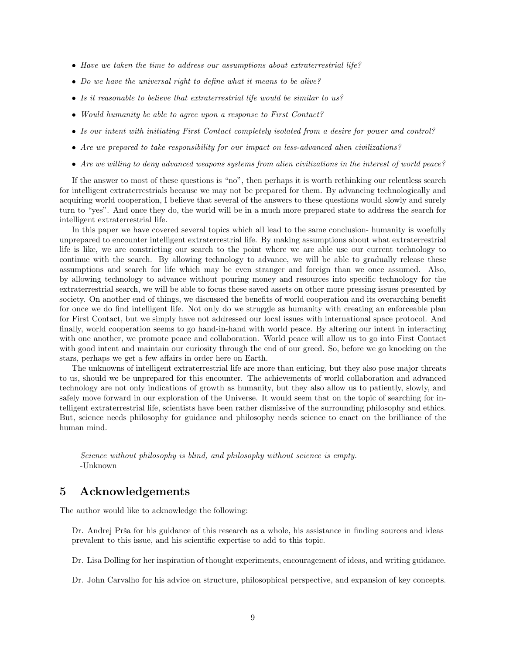- Have we taken the time to address our assumptions about extraterrestrial life?
- Do we have the universal right to define what it means to be alive?
- Is it reasonable to believe that extraterrestrial life would be similar to us?
- Would humanity be able to agree upon a response to First Contact?
- Is our intent with initiating First Contact completely isolated from a desire for power and control?
- Are we prepared to take responsibility for our impact on less-advanced alien civilizations?
- Are we willing to deny advanced weapons systems from alien civilizations in the interest of world peace?

If the answer to most of these questions is "no", then perhaps it is worth rethinking our relentless search for intelligent extraterrestrials because we may not be prepared for them. By advancing technologically and acquiring world cooperation, I believe that several of the answers to these questions would slowly and surely turn to "yes". And once they do, the world will be in a much more prepared state to address the search for intelligent extraterrestrial life.

In this paper we have covered several topics which all lead to the same conclusion- humanity is woefully unprepared to encounter intelligent extraterrestrial life. By making assumptions about what extraterrestrial life is like, we are constricting our search to the point where we are able use our current technology to continue with the search. By allowing technology to advance, we will be able to gradually release these assumptions and search for life which may be even stranger and foreign than we once assumed. Also, by allowing technology to advance without pouring money and resources into specific technology for the extraterrestrial search, we will be able to focus these saved assets on other more pressing issues presented by society. On another end of things, we discussed the benefits of world cooperation and its overarching benefit for once we do find intelligent life. Not only do we struggle as humanity with creating an enforceable plan for First Contact, but we simply have not addressed our local issues with international space protocol. And finally, world cooperation seems to go hand-in-hand with world peace. By altering our intent in interacting with one another, we promote peace and collaboration. World peace will allow us to go into First Contact with good intent and maintain our curiosity through the end of our greed. So, before we go knocking on the stars, perhaps we get a few affairs in order here on Earth.

The unknowns of intelligent extraterrestrial life are more than enticing, but they also pose major threats to us, should we be unprepared for this encounter. The achievements of world collaboration and advanced technology are not only indications of growth as humanity, but they also allow us to patiently, slowly, and safely move forward in our exploration of the Universe. It would seem that on the topic of searching for intelligent extraterrestrial life, scientists have been rather dismissive of the surrounding philosophy and ethics. But, science needs philosophy for guidance and philosophy needs science to enact on the brilliance of the human mind.

Science without philosophy is blind, and philosophy without science is empty. -Unknown

## 5 Acknowledgements

The author would like to acknowledge the following:

Dr. Andrej Prša for his guidance of this research as a whole, his assistance in finding sources and ideas prevalent to this issue, and his scientific expertise to add to this topic.

Dr. Lisa Dolling for her inspiration of thought experiments, encouragement of ideas, and writing guidance.

Dr. John Carvalho for his advice on structure, philosophical perspective, and expansion of key concepts.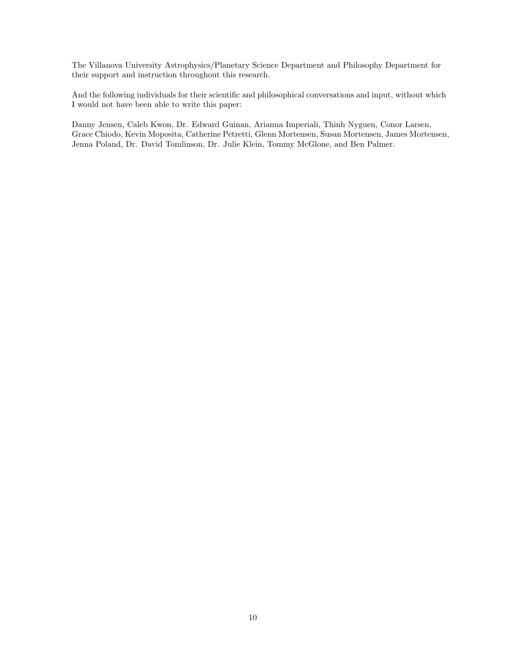The Villanova University Astrophysics/Planetary Science Department and Philosophy Department for their support and instruction throughout this research.

And the following individuals for their scientific and philosophical conversations and input, without which I would not have been able to write this paper:

Danny Jensen, Caleb Kwon, Dr. Edward Guinan, Arianna Imperiali, Thinh Nyguen, Conor Larsen, Grace Chiodo, Kevin Moposita, Catherine Petretti, Glenn Mortensen, Susan Mortensen, James Mortensen, Jenna Poland, Dr. David Tomlinson, Dr. Julie Klein, Tommy McGlone, and Ben Palmer.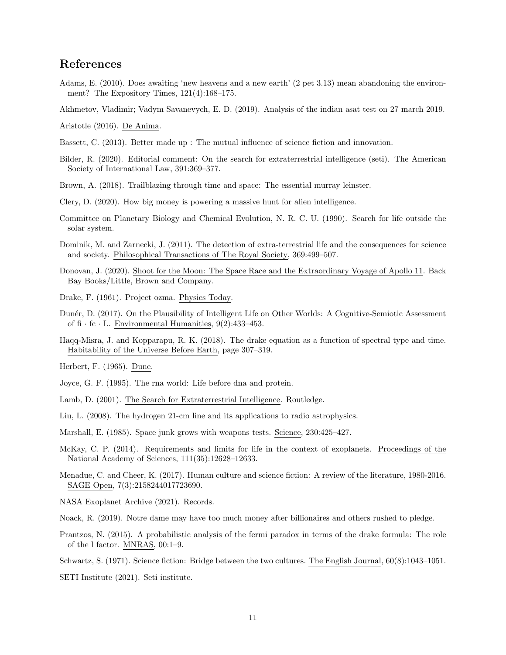# References

Adams, E. (2010). Does awaiting 'new heavens and a new earth' (2 pet 3.13) mean abandoning the environment? The Expository Times, 121(4):168–175.

Akhmetov, Vladimir; Vadym Savanevych, E. D. (2019). Analysis of the indian asat test on 27 march 2019.

Aristotle (2016). De Anima.

- Bassett, C. (2013). Better made up : The mutual influence of science fiction and innovation.
- Bilder, R. (2020). Editorial comment: On the search for extraterrestrial intelligence (seti). The American Society of International Law, 391:369–377.
- Brown, A. (2018). Trailblazing through time and space: The essential murray leinster.
- Clery, D. (2020). How big money is powering a massive hunt for alien intelligence.
- Committee on Planetary Biology and Chemical Evolution, N. R. C. U. (1990). Search for life outside the solar system.
- Dominik, M. and Zarnecki, J. (2011). The detection of extra-terrestrial life and the consequences for science and society. Philosophical Transactions of The Royal Society, 369:499–507.
- Donovan, J. (2020). Shoot for the Moon: The Space Race and the Extraordinary Voyage of Apollo 11. Back Bay Books/Little, Brown and Company.
- Drake, F. (1961). Project ozma. Physics Today.
- Dun´er, D. (2017). On the Plausibility of Intelligent Life on Other Worlds: A Cognitive-Semiotic Assessment of  $f{f}$  · fc · L. Environmental Humanities, 9(2):433-453.
- Haqq-Misra, J. and Kopparapu, R. K. (2018). The drake equation as a function of spectral type and time. Habitability of the Universe Before Earth, page 307–319.
- Herbert, F. (1965). Dune.
- Joyce, G. F. (1995). The rna world: Life before dna and protein.
- Lamb, D. (2001). The Search for Extraterrestrial Intelligence. Routledge.
- Liu, L. (2008). The hydrogen 21-cm line and its applications to radio astrophysics.
- Marshall, E. (1985). Space junk grows with weapons tests. Science, 230:425–427.
- McKay, C. P. (2014). Requirements and limits for life in the context of exoplanets. Proceedings of the National Academy of Sciences, 111(35):12628–12633.
- Menadue, C. and Cheer, K. (2017). Human culture and science fiction: A review of the literature, 1980-2016. SAGE Open, 7(3):2158244017723690.

NASA Exoplanet Archive (2021). Records.

- Noack, R. (2019). Notre dame may have too much money after billionaires and others rushed to pledge.
- Prantzos, N. (2015). A probabilistic analysis of the fermi paradox in terms of the drake formula: The role of the l factor. MNRAS, 00:1–9.
- Schwartz, S. (1971). Science fiction: Bridge between the two cultures. The English Journal, 60(8):1043–1051.

SETI Institute (2021). Seti institute.